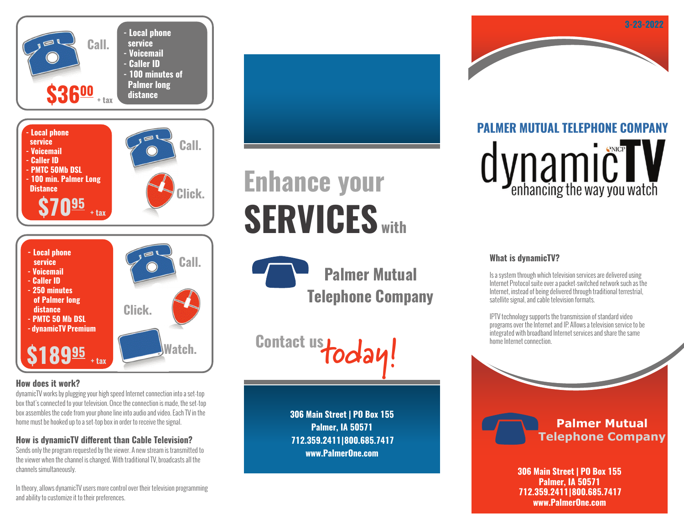

## **How does it work?**

dynamicTV works by plugging your high speed Internet connection into a set-top box that's connected to your television. Once the connection is made, the set-top box assembles the code from your phone line into audio and video. Each TV in the home must be hooked up to a set-top box in order to receive the signal.

## **How is dynamicTV different than Cable Television?**

Sends only the program requested by the viewer. A new stream is transmitted to the viewer when the channel is changed. With traditional TV, broadcasts all the channels simultaneously.

In theory, allows dynamicTV users more control over their television programming and ability to customize it to their preferences.

# **Enhance your SERVICES with**

**Palmer Mutual Telephone Company**

**Contact us today!**

**306 Main Street | PO Box 155 Palmer, IA 50571 712.359.2411 | 800.685.7417 www.PalmerOne.com**

**PALMER MUTUAL TELEPHONE COMPANY** dynamic<sup>ower</sup>

**3-23-2022**

## **What is dynamicTV?**

Is a system through which television services are delivered using Internet Protocol suite over a packet-switched network such as the Internet, instead of being delivered through traditional terrestrial, satellite signal, and cable television formats.

IPTV technology supports the transmission of standard video programs over the Internet and IP. Allows a television service to be integrated with broadband Internet services and share the same home Internet connection.



**306 Main Street | PO Box 155 Palmer, IA 50571 712.359.2411 | 800.685.7417 www.PalmerOne.com**